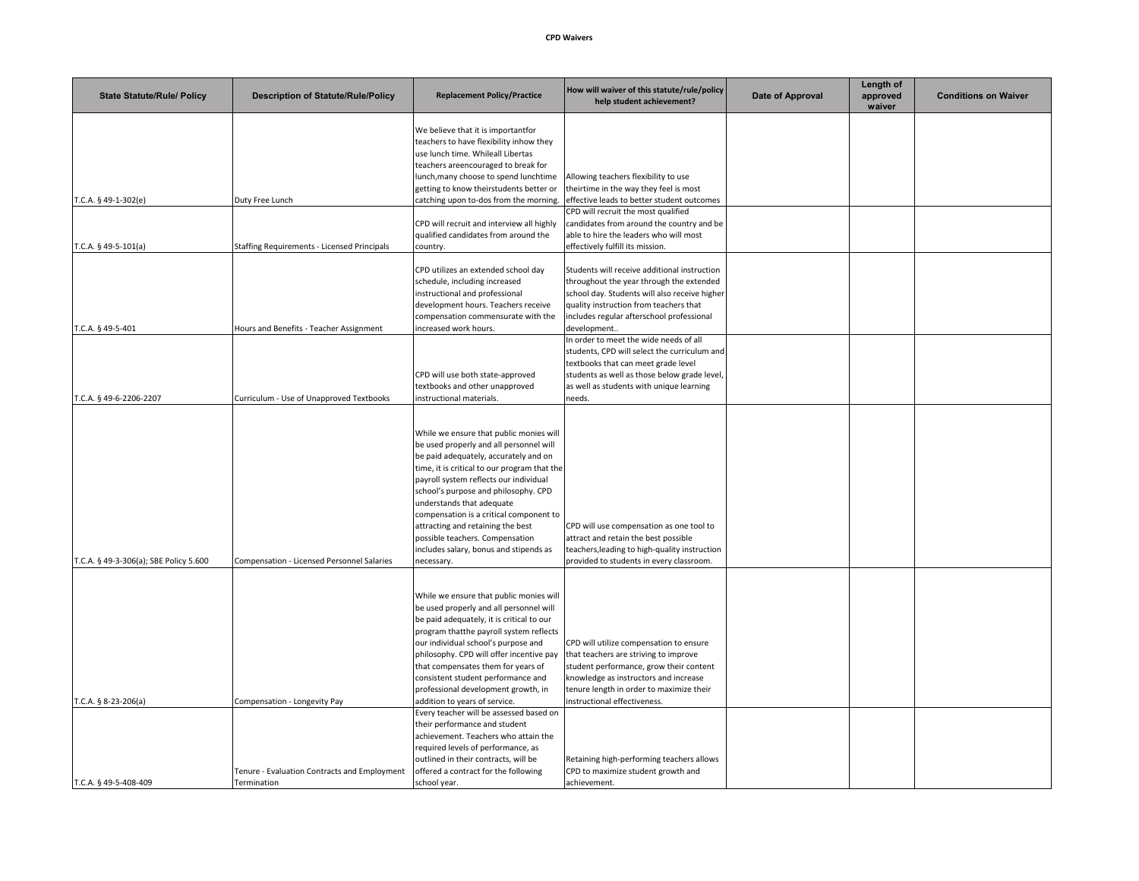## **CPD Waivers**

| <b>State Statute/Rule/ Policy</b>      | <b>Description of Statute/Rule/Policy</b>          | <b>Replacement Policy/Practice</b>                                                 | How will waiver of this statute/rule/policy<br>help student achievement?             | Date of Approval | Length of<br>approved<br>waiver | <b>Conditions on Waiver</b> |
|----------------------------------------|----------------------------------------------------|------------------------------------------------------------------------------------|--------------------------------------------------------------------------------------|------------------|---------------------------------|-----------------------------|
|                                        |                                                    | We believe that it is importantfor                                                 |                                                                                      |                  |                                 |                             |
|                                        |                                                    | teachers to have flexibility inhow they                                            |                                                                                      |                  |                                 |                             |
|                                        |                                                    | use lunch time. Whileall Libertas                                                  |                                                                                      |                  |                                 |                             |
|                                        |                                                    | teachers areencouraged to break for                                                |                                                                                      |                  |                                 |                             |
|                                        |                                                    | lunch, many choose to spend lunchtime                                              | Allowing teachers flexibility to use                                                 |                  |                                 |                             |
|                                        |                                                    | getting to know theirstudents better or<br>catching upon to-dos from the morning.  | theirtime in the way they feel is most<br>effective leads to better student outcomes |                  |                                 |                             |
| T.C.A. § 49-1-302(e)                   | Duty Free Lunch                                    |                                                                                    | CPD will recruit the most qualified                                                  |                  |                                 |                             |
|                                        |                                                    | CPD will recruit and interview all highly                                          | candidates from around the country and be                                            |                  |                                 |                             |
|                                        |                                                    | qualified candidates from around the                                               | able to hire the leaders who will most                                               |                  |                                 |                             |
| T.C.A. § 49-5-101(a)                   | <b>Staffing Requirements - Licensed Principals</b> | country.                                                                           | effectively fulfill its mission.                                                     |                  |                                 |                             |
|                                        |                                                    |                                                                                    |                                                                                      |                  |                                 |                             |
|                                        |                                                    | CPD utilizes an extended school day                                                | Students will receive additional instruction                                         |                  |                                 |                             |
|                                        |                                                    | schedule, including increased                                                      | throughout the year through the extended                                             |                  |                                 |                             |
|                                        |                                                    | instructional and professional                                                     | school day. Students will also receive higher                                        |                  |                                 |                             |
|                                        |                                                    | development hours. Teachers receive<br>compensation commensurate with the          | quality instruction from teachers that<br>includes regular afterschool professional  |                  |                                 |                             |
| T.C.A. § 49-5-401                      | Hours and Benefits - Teacher Assignment            | increased work hours.                                                              | development                                                                          |                  |                                 |                             |
|                                        |                                                    |                                                                                    | In order to meet the wide needs of all                                               |                  |                                 |                             |
|                                        |                                                    |                                                                                    | students, CPD will select the curriculum and                                         |                  |                                 |                             |
|                                        |                                                    |                                                                                    | textbooks that can meet grade level                                                  |                  |                                 |                             |
|                                        |                                                    | CPD will use both state-approved                                                   | students as well as those below grade level,                                         |                  |                                 |                             |
|                                        |                                                    | textbooks and other unapproved                                                     | as well as students with unique learning                                             |                  |                                 |                             |
| T.C.A. § 49-6-2206-2207                | Curriculum - Use of Unapproved Textbooks           | instructional materials.                                                           | needs.                                                                               |                  |                                 |                             |
|                                        |                                                    |                                                                                    |                                                                                      |                  |                                 |                             |
|                                        |                                                    |                                                                                    |                                                                                      |                  |                                 |                             |
|                                        |                                                    | While we ensure that public monies will<br>be used properly and all personnel will |                                                                                      |                  |                                 |                             |
|                                        |                                                    | be paid adequately, accurately and on                                              |                                                                                      |                  |                                 |                             |
|                                        |                                                    | time, it is critical to our program that the                                       |                                                                                      |                  |                                 |                             |
|                                        |                                                    | payroll system reflects our individual                                             |                                                                                      |                  |                                 |                             |
|                                        |                                                    | school's purpose and philosophy. CPD                                               |                                                                                      |                  |                                 |                             |
|                                        |                                                    | understands that adequate                                                          |                                                                                      |                  |                                 |                             |
|                                        |                                                    | compensation is a critical component to                                            |                                                                                      |                  |                                 |                             |
|                                        |                                                    | attracting and retaining the best                                                  | CPD will use compensation as one tool to                                             |                  |                                 |                             |
|                                        |                                                    | possible teachers. Compensation                                                    | attract and retain the best possible                                                 |                  |                                 |                             |
|                                        |                                                    | includes salary, bonus and stipends as                                             | teachers, leading to high-quality instruction                                        |                  |                                 |                             |
| T.C.A. § 49-3-306(a); SBE Policy 5.600 | Compensation - Licensed Personnel Salaries         | necessary.                                                                         | provided to students in every classroom.                                             |                  |                                 |                             |
|                                        |                                                    |                                                                                    |                                                                                      |                  |                                 |                             |
|                                        |                                                    | While we ensure that public monies will                                            |                                                                                      |                  |                                 |                             |
|                                        |                                                    | be used properly and all personnel will                                            |                                                                                      |                  |                                 |                             |
|                                        |                                                    | be paid adequately, it is critical to our                                          |                                                                                      |                  |                                 |                             |
|                                        |                                                    | program thatthe payroll system reflects                                            |                                                                                      |                  |                                 |                             |
|                                        |                                                    | our individual school's purpose and                                                | CPD will utilize compensation to ensure                                              |                  |                                 |                             |
|                                        |                                                    | philosophy. CPD will offer incentive pay                                           | that teachers are striving to improve                                                |                  |                                 |                             |
|                                        |                                                    | that compensates them for years of                                                 | student performance, grow their content                                              |                  |                                 |                             |
|                                        |                                                    | consistent student performance and                                                 | knowledge as instructors and increase                                                |                  |                                 |                             |
|                                        |                                                    | professional development growth, in                                                | tenure length in order to maximize their                                             |                  |                                 |                             |
| T.C.A. § 8-23-206(a)                   | Compensation - Longevity Pay                       | addition to years of service.<br>Every teacher will be assessed based on           | instructional effectiveness.                                                         |                  |                                 |                             |
|                                        |                                                    | their performance and student                                                      |                                                                                      |                  |                                 |                             |
|                                        |                                                    | achievement. Teachers who attain the                                               |                                                                                      |                  |                                 |                             |
|                                        |                                                    | required levels of performance, as                                                 |                                                                                      |                  |                                 |                             |
|                                        |                                                    | outlined in their contracts, will be                                               | Retaining high-performing teachers allows                                            |                  |                                 |                             |
|                                        | Tenure - Evaluation Contracts and Employment       | offered a contract for the following                                               | CPD to maximize student growth and                                                   |                  |                                 |                             |
| T.C.A. § 49-5-408-409                  | Termination                                        | school year.                                                                       | achievement.                                                                         |                  |                                 |                             |